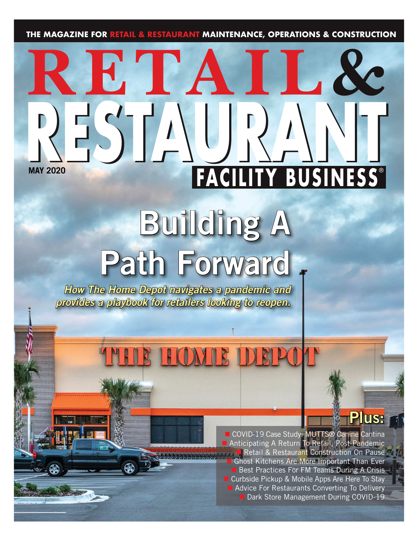**THE MAGAZINE FOR RETAIL & RESTAURANT MAINTENANCE, OPERATIONS & CONSTRUCTION** 

## **MAY 2020 RASH RESTAURANT PRESENTATION RETAIL&** RESTAURANT **FACILITY BUSINESS** ®

# **Building A Path Forward**

*How The Home Depot navigates a pandemic and provides a playbook for retailers looking to reopen.*

COVID-19 Case Study: MUTTS<sup>®</sup> Canine Cantina Anticipating A Return To Retail, Post-Pandemic Retail & Restaurant Construction On Pause Ghost Kitchens Are More Important Than Ever Best Practices For FM Teams During A Crisis Curbside Pickup & Mobile Apps Are Here To Stay **Advice For Restaurants Converting To Delivery** Dark Store Management During COVID-19

**Plus:**